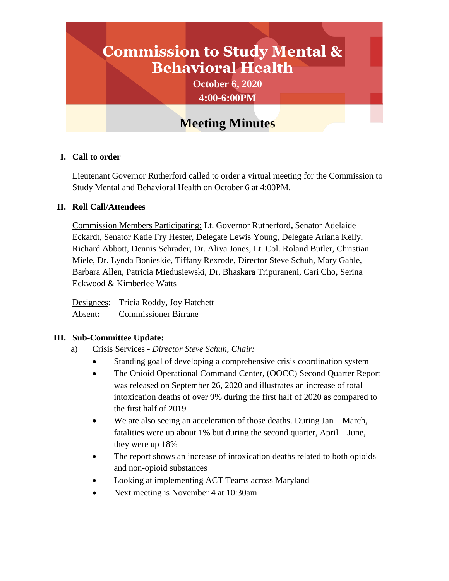# **Commission to Study Mental & Behavioral Health**

**October 6, 2020 4:00-6:00PM**

# **Meeting Minutes**

### **I. Call to order**

Lieutenant Governor Rutherford called to order a virtual meeting for the Commission to Study Mental and Behavioral Health on October 6 at 4:00PM.

#### **II. Roll Call/Attendees**

Commission Members Participating: Lt. Governor Rutherford**,** Senator Adelaide Eckardt, Senator Katie Fry Hester, Delegate Lewis Young, Delegate Ariana Kelly, Richard Abbott, Dennis Schrader, Dr. Aliya Jones, Lt. Col. Roland Butler, Christian Miele, Dr. Lynda Bonieskie, Tiffany Rexrode, Director Steve Schuh, Mary Gable, Barbara Allen, Patricia Miedusiewski, Dr, Bhaskara Tripuraneni, Cari Cho, Serina Eckwood & Kimberlee Watts

Designees: Tricia Roddy, Joy Hatchett Absent**:** Commissioner Birrane

# **III. Sub-Committee Update:**

- a) Crisis Services *Director Steve Schuh, Chair:*
	- Standing goal of developing a comprehensive crisis coordination system
	- The Opioid Operational Command Center, (OOCC) Second Quarter Report was released on September 26, 2020 and illustrates an increase of total intoxication deaths of over 9% during the first half of 2020 as compared to the first half of 2019
	- We are also seeing an acceleration of those deaths. During Jan March, fatalities were up about 1% but during the second quarter, April – June, they were up 18%
	- The report shows an increase of intoxication deaths related to both opioids and non-opioid substances
	- Looking at implementing ACT Teams across Maryland
	- Next meeting is November 4 at 10:30am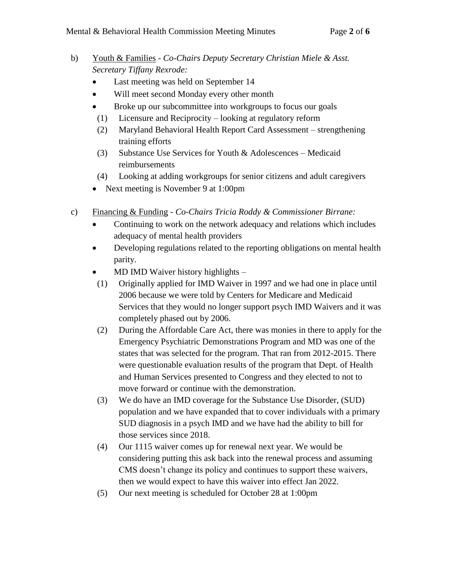- b) Youth & Families *Co-Chairs Deputy Secretary Christian Miele & Asst. Secretary Tiffany Rexrode:*
	- Last meeting was held on September 14
	- Will meet second Monday every other month
	- Broke up our subcommittee into workgroups to focus our goals
	- (1) Licensure and Reciprocity looking at regulatory reform
	- (2) Maryland Behavioral Health Report Card Assessment strengthening training efforts
	- (3) Substance Use Services for Youth & Adolescences Medicaid reimbursements
	- (4) Looking at adding workgroups for senior citizens and adult caregivers
	- Next meeting is November 9 at 1:00pm
- c) Financing & Funding *Co-Chairs Tricia Roddy & Commissioner Birrane:*
	- Continuing to work on the network adequacy and relations which includes adequacy of mental health providers
	- Developing regulations related to the reporting obligations on mental health parity.
	- MD IMD Waiver history highlights –
	- (1) Originally applied for IMD Waiver in 1997 and we had one in place until 2006 because we were told by Centers for Medicare and Medicaid Services that they would no longer support psych IMD Waivers and it was completely phased out by 2006.
	- (2) During the Affordable Care Act, there was monies in there to apply for the Emergency Psychiatric Demonstrations Program and MD was one of the states that was selected for the program. That ran from 2012-2015. There were questionable evaluation results of the program that Dept. of Health and Human Services presented to Congress and they elected to not to move forward or continue with the demonstration.
	- (3) We do have an IMD coverage for the Substance Use Disorder, (SUD) population and we have expanded that to cover individuals with a primary SUD diagnosis in a psych IMD and we have had the ability to bill for those services since 2018.
	- (4) Our 1115 waiver comes up for renewal next year. We would be considering putting this ask back into the renewal process and assuming CMS doesn't change its policy and continues to support these waivers, then we would expect to have this waiver into effect Jan 2022.
	- (5) Our next meeting is scheduled for October 28 at 1:00pm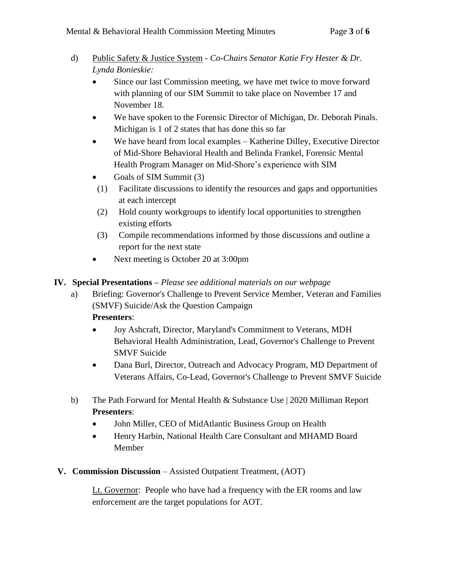- d) Public Safety & Justice System *Co-Chairs Senator Katie Fry Hester & Dr. Lynda Bonieskie:*
	- Since our last Commission meeting, we have met twice to move forward with planning of our SIM Summit to take place on November 17 and November 18.
	- We have spoken to the Forensic Director of Michigan, Dr. Deborah Pinals. Michigan is 1 of 2 states that has done this so far
	- We have heard from local examples Katherine Dilley, Executive Director of Mid-Shore Behavioral Health and Belinda Frankel, Forensic Mental Health Program Manager on Mid-Shore's experience with SIM
	- Goals of SIM Summit (3)
	- (1) Facilitate discussions to identify the resources and gaps and opportunities at each intercept
	- (2) Hold county workgroups to identify local opportunities to strengthen existing efforts
	- (3) Compile recommendations informed by those discussions and outline a report for the next state
	- Next meeting is October 20 at 3:00pm

# **IV. Special Presentations –** *Please see additional materials on our webpage*

- a) Briefing: Governor's Challenge to Prevent Service Member, Veteran and Families (SMVF) Suicide/Ask the Question Campaign **Presenters**:
	-
	- Joy Ashcraft, Director, Maryland's Commitment to Veterans, MDH Behavioral Health Administration, Lead, Governor's Challenge to Prevent SMVF Suicide
	- Dana Burl, Director, Outreach and Advocacy Program, MD Department of Veterans Affairs, Co-Lead, Governor's Challenge to Prevent SMVF Suicide
- b) The Path Forward for Mental Health & Substance Use | 2020 Milliman Report **Presenters**:
	- John Miller, CEO of MidAtlantic Business Group on Health
	- Henry Harbin, National Health Care Consultant and MHAMD Board Member
- **V. Commission Discussion**  Assisted Outpatient Treatment, (AOT)

Lt. Governor: People who have had a frequency with the ER rooms and law enforcement are the target populations for AOT.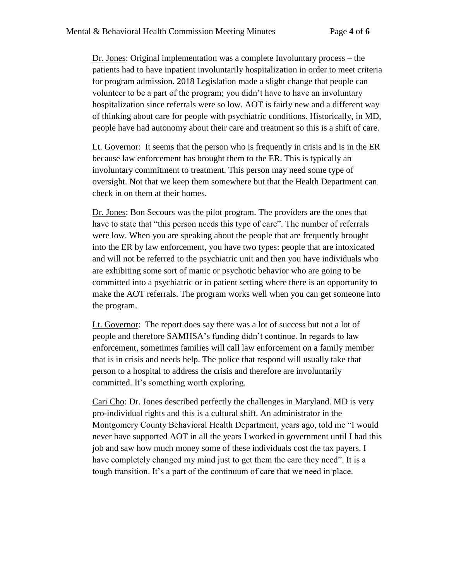Dr. Jones: Original implementation was a complete Involuntary process – the patients had to have inpatient involuntarily hospitalization in order to meet criteria for program admission. 2018 Legislation made a slight change that people can volunteer to be a part of the program; you didn't have to have an involuntary hospitalization since referrals were so low. AOT is fairly new and a different way of thinking about care for people with psychiatric conditions. Historically, in MD, people have had autonomy about their care and treatment so this is a shift of care.

Lt. Governor: It seems that the person who is frequently in crisis and is in the ER because law enforcement has brought them to the ER. This is typically an involuntary commitment to treatment. This person may need some type of oversight. Not that we keep them somewhere but that the Health Department can check in on them at their homes.

Dr. Jones: Bon Secours was the pilot program. The providers are the ones that have to state that "this person needs this type of care". The number of referrals were low. When you are speaking about the people that are frequently brought into the ER by law enforcement, you have two types: people that are intoxicated and will not be referred to the psychiatric unit and then you have individuals who are exhibiting some sort of manic or psychotic behavior who are going to be committed into a psychiatric or in patient setting where there is an opportunity to make the AOT referrals. The program works well when you can get someone into the program.

Lt. Governor: The report does say there was a lot of success but not a lot of people and therefore SAMHSA's funding didn't continue. In regards to law enforcement, sometimes families will call law enforcement on a family member that is in crisis and needs help. The police that respond will usually take that person to a hospital to address the crisis and therefore are involuntarily committed. It's something worth exploring.

Cari Cho: Dr. Jones described perfectly the challenges in Maryland. MD is very pro-individual rights and this is a cultural shift. An administrator in the Montgomery County Behavioral Health Department, years ago, told me "I would never have supported AOT in all the years I worked in government until I had this job and saw how much money some of these individuals cost the tax payers. I have completely changed my mind just to get them the care they need". It is a tough transition. It's a part of the continuum of care that we need in place.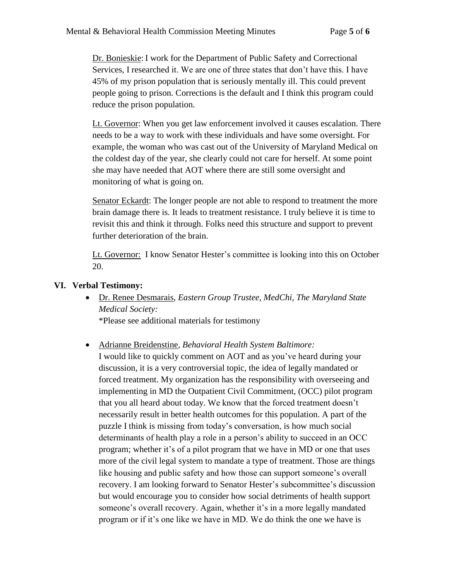Dr. Bonieskie: I work for the Department of Public Safety and Correctional Services, I researched it. We are one of three states that don't have this. I have 45% of my prison population that is seriously mentally ill. This could prevent people going to prison. Corrections is the default and I think this program could reduce the prison population.

Lt. Governor: When you get law enforcement involved it causes escalation. There needs to be a way to work with these individuals and have some oversight. For example, the woman who was cast out of the University of Maryland Medical on the coldest day of the year, she clearly could not care for herself. At some point she may have needed that AOT where there are still some oversight and monitoring of what is going on.

Senator Eckardt: The longer people are not able to respond to treatment the more brain damage there is. It leads to treatment resistance. I truly believe it is time to revisit this and think it through. Folks need this structure and support to prevent further deterioration of the brain.

Lt. Governor: I know Senator Hester's committee is looking into this on October 20.

#### **VI. Verbal Testimony:**

 Dr. Renee Desmarais, *Eastern Group Trustee, MedChi, The Maryland State Medical Society:*

\*Please see additional materials for testimony

Adrianne Breidenstine*, Behavioral Health System Baltimore:*

I would like to quickly comment on AOT and as you've heard during your discussion, it is a very controversial topic, the idea of legally mandated or forced treatment. My organization has the responsibility with overseeing and implementing in MD the Outpatient Civil Commitment, (OCC) pilot program that you all heard about today. We know that the forced treatment doesn't necessarily result in better health outcomes for this population. A part of the puzzle I think is missing from today's conversation, is how much social determinants of health play a role in a person's ability to succeed in an OCC program; whether it's of a pilot program that we have in MD or one that uses more of the civil legal system to mandate a type of treatment. Those are things like housing and public safety and how those can support someone's overall recovery. I am looking forward to Senator Hester's subcommittee's discussion but would encourage you to consider how social detriments of health support someone's overall recovery. Again, whether it's in a more legally mandated program or if it's one like we have in MD. We do think the one we have is